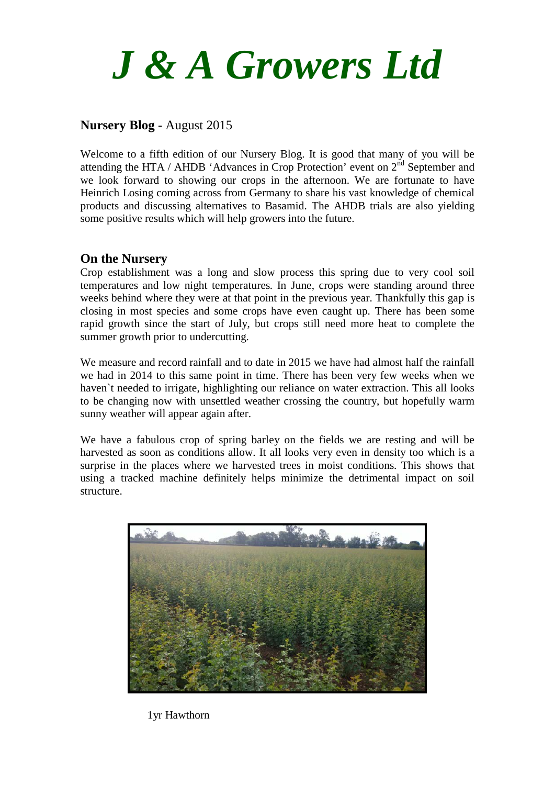

# **Nursery Blog** - August 2015

Welcome to a fifth edition of our Nursery Blog. It is good that many of you will be attending the HTA / AHDB 'Advances in Crop Protection' event on  $2<sup>nd</sup>$  September and we look forward to showing our crops in the afternoon. We are fortunate to have Heinrich Losing coming across from Germany to share his vast knowledge of chemical products and discussing alternatives to Basamid. The AHDB trials are also yielding some positive results which will help growers into the future.

## **On the Nursery**

Crop establishment was a long and slow process this spring due to very cool soil temperatures and low night temperatures. In June, crops were standing around three weeks behind where they were at that point in the previous year. Thankfully this gap is closing in most species and some crops have even caught up. There has been some rapid growth since the start of July, but crops still need more heat to complete the summer growth prior to undercutting.

We measure and record rainfall and to date in 2015 we have had almost half the rainfall we had in 2014 to this same point in time. There has been very few weeks when we haven`t needed to irrigate, highlighting our reliance on water extraction. This all looks to be changing now with unsettled weather crossing the country, but hopefully warm sunny weather will appear again after.

We have a fabulous crop of spring barley on the fields we are resting and will be harvested as soon as conditions allow. It all looks very even in density too which is a surprise in the places where we harvested trees in moist conditions. This shows that using a tracked machine definitely helps minimize the detrimental impact on soil structure.



1yr Hawthorn